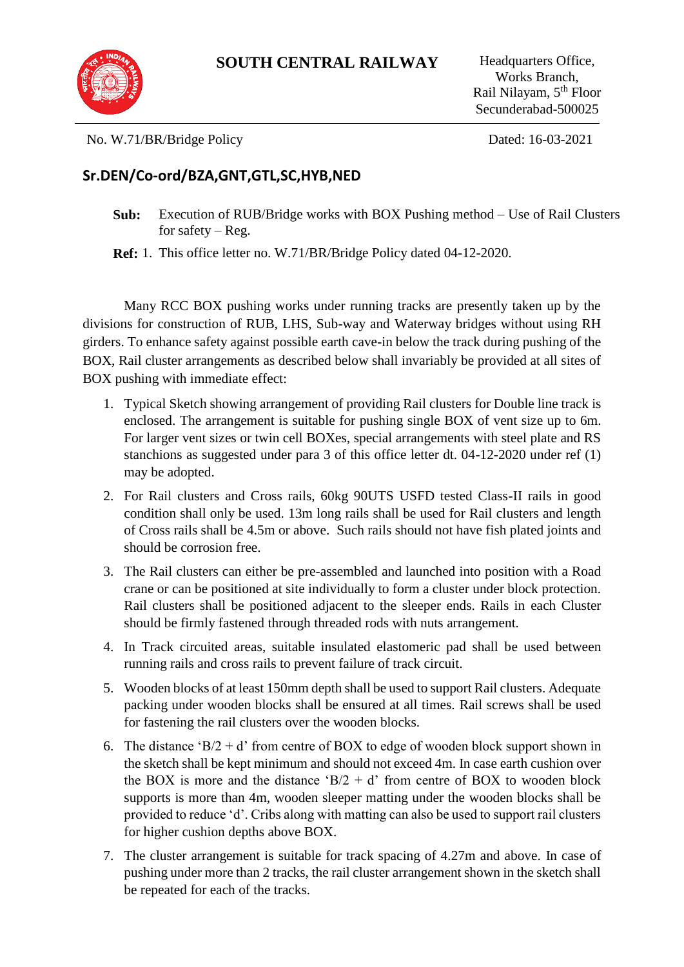

No. W.71/BR/Bridge Policy Dated: 16-03-2021

## **Sr.DEN/Co-ord/BZA,GNT,GTL,SC,HYB,NED**

**Sub:** Execution of RUB/Bridge works with BOX Pushing method – Use of Rail Clusters for safety –  $Reg.$ 

**Ref:** 1. This office letter no. W.71/BR/Bridge Policy dated 04-12-2020.

Many RCC BOX pushing works under running tracks are presently taken up by the divisions for construction of RUB, LHS, Sub-way and Waterway bridges without using RH girders. To enhance safety against possible earth cave-in below the track during pushing of the BOX, Rail cluster arrangements as described below shall invariably be provided at all sites of BOX pushing with immediate effect:

- 1. Typical Sketch showing arrangement of providing Rail clusters for Double line track is enclosed. The arrangement is suitable for pushing single BOX of vent size up to 6m. For larger vent sizes or twin cell BOXes, special arrangements with steel plate and RS stanchions as suggested under para 3 of this office letter dt. 04-12-2020 under ref (1) may be adopted.
- 2. For Rail clusters and Cross rails, 60kg 90UTS USFD tested Class-II rails in good condition shall only be used. 13m long rails shall be used for Rail clusters and length of Cross rails shall be 4.5m or above. Such rails should not have fish plated joints and should be corrosion free.
- 3. The Rail clusters can either be pre-assembled and launched into position with a Road crane or can be positioned at site individually to form a cluster under block protection. Rail clusters shall be positioned adjacent to the sleeper ends. Rails in each Cluster should be firmly fastened through threaded rods with nuts arrangement.
- 4. In Track circuited areas, suitable insulated elastomeric pad shall be used between running rails and cross rails to prevent failure of track circuit.
- 5. Wooden blocks of at least 150mm depth shall be used to support Rail clusters. Adequate packing under wooden blocks shall be ensured at all times. Rail screws shall be used for fastening the rail clusters over the wooden blocks.
- 6. The distance ' $B/2 + d$ ' from centre of BOX to edge of wooden block support shown in the sketch shall be kept minimum and should not exceed 4m. In case earth cushion over the BOX is more and the distance 'B $/2 + d$ ' from centre of BOX to wooden block supports is more than 4m, wooden sleeper matting under the wooden blocks shall be provided to reduce 'd'. Cribs along with matting can also be used to support rail clusters for higher cushion depths above BOX.
- 7. The cluster arrangement is suitable for track spacing of 4.27m and above. In case of pushing under more than 2 tracks, the rail cluster arrangement shown in the sketch shall be repeated for each of the tracks.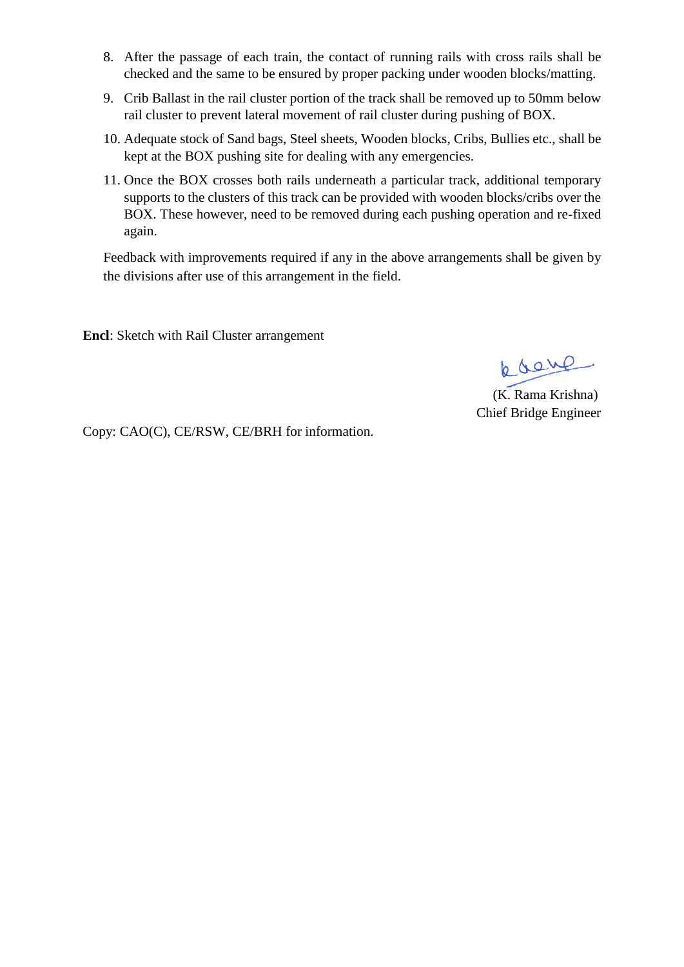- 8. After the passage of each train, the contact of running rails with cross rails shall be checked and the same to be ensured by proper packing under wooden blocks/matting.
- 9. Crib Ballast in the rail cluster portion of the track shall be removed up to 50mm below rail cluster to prevent lateral movement of rail cluster during pushing of BOX.
- 10. Adequate stock of Sand bags, Steel sheets, Wooden blocks, Cribs, Bullies etc., shall be kept at the BOX pushing site for dealing with any emergencies.
- 11. Once the BOX crosses both rails underneath a particular track, additional temporary supports to the clusters of this track can be provided with wooden blocks/cribs over the BOX. These however, need to be removed during each pushing operation and re-fixed again.

Feedback with improvements required if any in the above arrangements shall be given by the divisions after use of this arrangement in the field.

**Encl**: Sketch with Rail Cluster arrangement

pose

 (K. Rama Krishna) Chief Bridge Engineer

Copy: CAO(C), CE/RSW, CE/BRH for information.